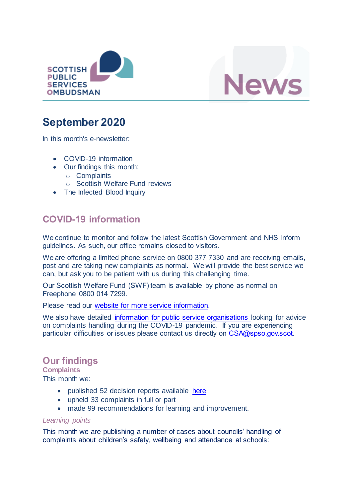



# **September 2020**

In this month's e-newsletter:

- COVID-19 information
- Our findings this month:
	- o Complaints
	- o Scottish Welfare Fund reviews
- The Infected Blood Inquiry

## **COVID-19 information**

We continue to monitor and follow the latest Scottish Government and NHS Inform guidelines. As such, our office remains closed to visitors.

We are offering a limited phone service on 0800 377 7330 and are receiving emails, post and are taking new complaints as normal. We will provide the best service we can, but ask you to be patient with us during this challenging time.

Our Scottish Welfare Fund (SWF) team is available by phone as normal on Freephone 0800 014 7299.

Please read our website [for more service](https://www.spso.org.uk/news-and-media/covid-19-update) information.

We also have detailed [information for public service organisations](https://www.spso.org.uk/covid-19-update-for-public-service-organisations) looking for advice on complaints handling during the COVID-19 pandemic. If you are experiencing particular difficulties or issues please contact us directly on [CSA@spso.gov.scot.](mailto:CSA@spso.gov.scot)

## **Our findings**

**Complaints** This month we:

- published 52 decision reports available [here](https://www.spso.org.uk/our-findings)
- upheld 33 complaints in full or part
- made 99 recommendations for learning and improvement.

#### *Learning points*

This month we are publishing a number of cases about councils' handling of complaints about children's safety, wellbeing and attendance at schools: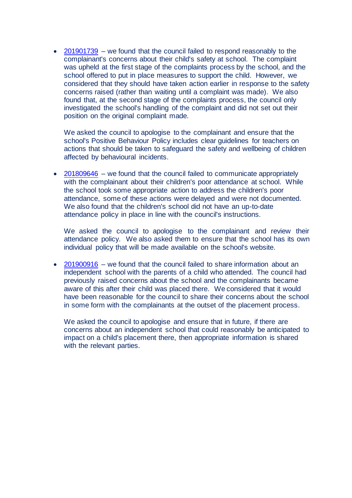• [201901739](https://www.spso.org.uk/decision-reports/2020/september/decision-report-201901739-201901739) – we found that the council failed to respond reasonably to the complainant's concerns about their child's safety at school. The complaint was upheld at the first stage of the complaints process by the school, and the school offered to put in place measures to support the child. However, we considered that they should have taken action earlier in response to the safety concerns raised (rather than waiting until a complaint was made). We also found that, at the second stage of the complaints process, the council only investigated the school's handling of the complaint and did not set out their position on the original complaint made.

We asked the council to apologise to the complainant and ensure that the school's Positive Behaviour Policy includes clear guidelines for teachers on actions that should be taken to safeguard the safety and wellbeing of children affected by behavioural incidents.

• [201809646](https://www.spso.org.uk/decision-reports/2020/september/decision-report-201809646-201809646) – we found that the council failed to communicate appropriately with the complainant about their children's poor attendance at school. While the school took some appropriate action to address the children's poor attendance, some of these actions were delayed and were not documented. We also found that the children's school did not have an up-to-date attendance policy in place in line with the council's instructions.

We asked the council to apologise to the complainant and review their attendance policy. We also asked them to ensure that the school has its own individual policy that will be made available on the school's website.

• [201900916](https://www.spso.org.uk/decision-reports/2020/september/decision-report-201900916-201900916) – we found that the council failed to share information about an independent school with the parents of a child who attended. The council had previously raised concerns about the school and the complainants became aware of this after their child was placed there. We considered that it would have been reasonable for the council to share their concerns about the school in some form with the complainants at the outset of the placement process.

We asked the council to apologise and ensure that in future, if there are concerns about an independent school that could reasonably be anticipated to impact on a child's placement there, then appropriate information is shared with the relevant parties.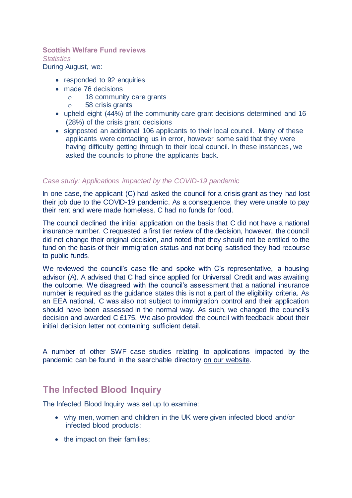### **Scottish Welfare Fund reviews**

*Statistics*

During August, we:

- responded to 92 enquiries
- made 76 decisions
	- o 18 community care grants
	- o 58 crisis grants
- upheld eight (44%) of the community care grant decisions determined and 16 (28%) of the crisis grant decisions
- signposted an additional 106 applicants to their local council. Many of these applicants were contacting us in error, however some said that they were having difficulty getting through to their local council. In these instances, we asked the councils to phone the applicants back.

#### *Case study: Applications impacted by the COVID-19 pandemic*

In one case, the applicant (C) had asked the council for a crisis grant as they had lost their job due to the COVID-19 pandemic. As a consequence, they were unable to pay their rent and were made homeless. C had no funds for food.

The council declined the initial application on the basis that C did not have a national insurance number. C requested a first tier review of the decision, however, the council did not change their original decision, and noted that they should not be entitled to the fund on the basis of their immigration status and not being satisfied they had recourse to public funds.

We reviewed the council's case file and spoke with C's representative, a housing advisor (A). A advised that C had since applied for Universal Credit and was awaiting the outcome. We disagreed with the council's assessment that a national insurance number is required as the guidance states this is not a part of the eligibility criteria. As an EEA national, C was also not subject to immigration control and their application should have been assessed in the normal way. As such, we changed the council's decision and awarded C £175. We also provided the council with feedback about their initial decision letter not containing sufficient detail.

A number of other SWF case studies relating to applications impacted by the pandemic can be found in the searchable directory [on our website.](https://www.spso.org.uk/scottishwelfarefund/case-summaries)

## **The Infected Blood Inquiry**

The Infected Blood Inquiry was set up to examine:

- why men, women and children in the UK were given infected blood and/or infected blood products;
- the impact on their families;